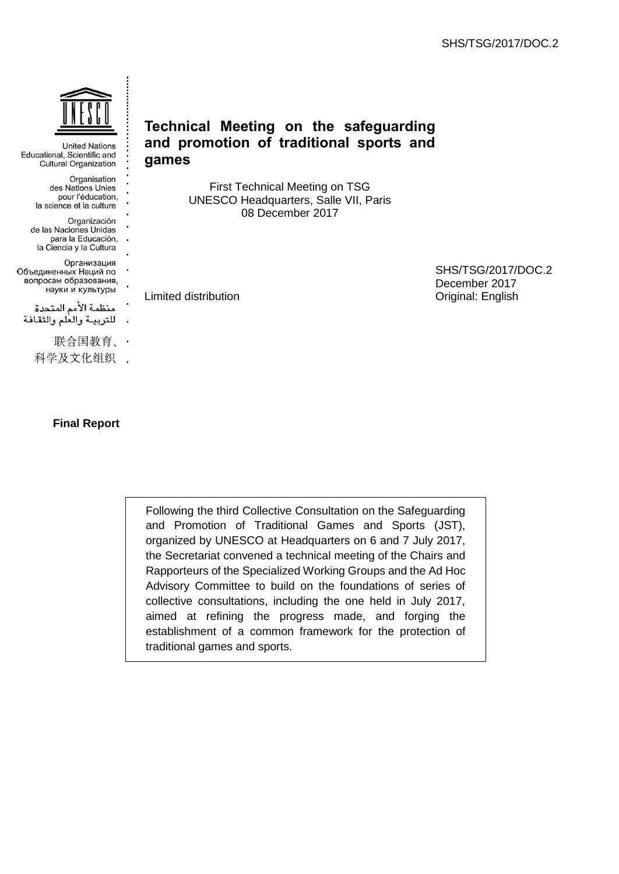

**United Nations** Educational, Scientific and **Cultural Organization** 

- Organisation des Nations Unies pour l'éducation, la science et la culture
- Organización de las Naciones Unidas para la Educación, la Ciencia y la Cultura

Организация Объединенных Наций по вопросам образования, науки и культуры

- منظمة الأمم المتحدة للتربية والعلم والثقافة
	- 联合国教育、·
	- 科学及文化组织 .

# **Final Report**

# **Technical Meeting on the safeguarding and promotion of traditional sports and games**

First Technical Meeting on TSG UNESCO Headquarters, Salle VII, Paris 08 December 2017

Limited distribution

SHS/TSG/2017/DOC.2 December 2017 Original: English

Following the third Collective Consultation on the Safeguarding and Promotion of Traditional Games and Sports (JST), organized by UNESCO at Headquarters on 6 and 7 July 2017, the Secretariat convened a technical meeting of the Chairs and Rapporteurs of the Specialized Working Groups and the Ad Hoc Advisory Committee to build on the foundations of series of collective consultations, including the one held in July 2017, aimed at refining the progress made, and forging the establishment of a common framework for the protection of traditional games and sports.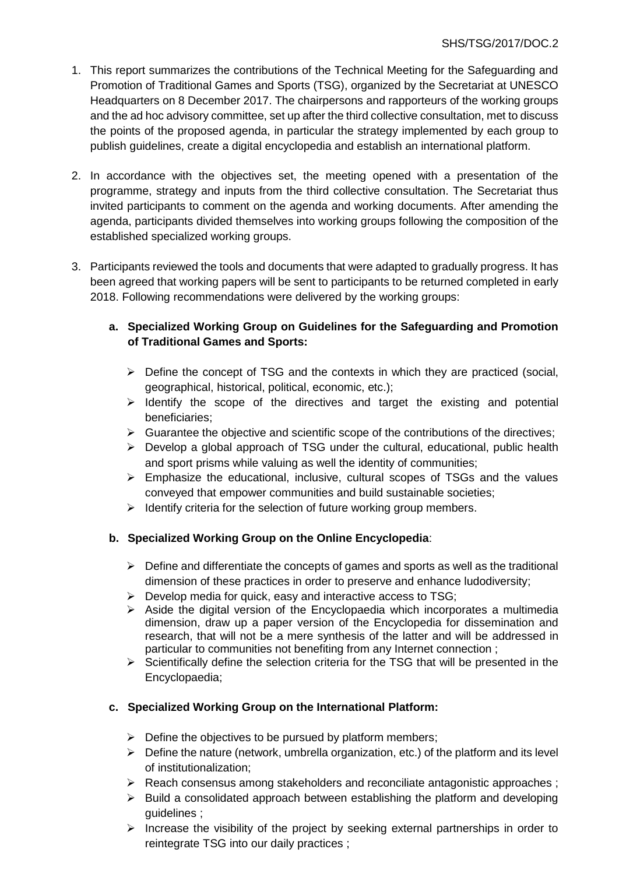- 1. This report summarizes the contributions of the Technical Meeting for the Safeguarding and Promotion of Traditional Games and Sports (TSG), organized by the Secretariat at UNESCO Headquarters on 8 December 2017. The chairpersons and rapporteurs of the working groups and the ad hoc advisory committee, set up after the third collective consultation, met to discuss the points of the proposed agenda, in particular the strategy implemented by each group to publish guidelines, create a digital encyclopedia and establish an international platform.
- 2. In accordance with the objectives set, the meeting opened with a presentation of the programme, strategy and inputs from the third collective consultation. The Secretariat thus invited participants to comment on the agenda and working documents. After amending the agenda, participants divided themselves into working groups following the composition of the established specialized working groups.
- 3. Participants reviewed the tools and documents that were adapted to gradually progress. It has been agreed that working papers will be sent to participants to be returned completed in early 2018. Following recommendations were delivered by the working groups:
	- **a. Specialized Working Group on Guidelines for the Safeguarding and Promotion of Traditional Games and Sports:**
		- $\triangleright$  Define the concept of TSG and the contexts in which they are practiced (social, geographical, historical, political, economic, etc.);
		- $\triangleright$  Identify the scope of the directives and target the existing and potential beneficiaries;
		- $\triangleright$  Guarantee the objective and scientific scope of the contributions of the directives;
		- $\triangleright$  Develop a global approach of TSG under the cultural, educational, public health and sport prisms while valuing as well the identity of communities;
		- $\triangleright$  Emphasize the educational, inclusive, cultural scopes of TSGs and the values conveyed that empower communities and build sustainable societies;
		- $\triangleright$  Identify criteria for the selection of future working group members.

# **b. Specialized Working Group on the Online Encyclopedia**:

- $\triangleright$  Define and differentiate the concepts of games and sports as well as the traditional dimension of these practices in order to preserve and enhance ludodiversity;
- $\triangleright$  Develop media for quick, easy and interactive access to TSG;
- $\triangleright$  Aside the digital version of the Encyclopaedia which incorporates a multimedia dimension, draw up a paper version of the Encyclopedia for dissemination and research, that will not be a mere synthesis of the latter and will be addressed in particular to communities not benefiting from any Internet connection ;
- $\triangleright$  Scientifically define the selection criteria for the TSG that will be presented in the Encyclopaedia;

# **c. Specialized Working Group on the International Platform:**

- $\triangleright$  Define the objectives to be pursued by platform members;
- $\triangleright$  Define the nature (network, umbrella organization, etc.) of the platform and its level of institutionalization;
- $\triangleright$  Reach consensus among stakeholders and reconciliate antagonistic approaches ;
- $\triangleright$  Build a consolidated approach between establishing the platform and developing guidelines ;
- $\triangleright$  Increase the visibility of the project by seeking external partnerships in order to reintegrate TSG into our daily practices ;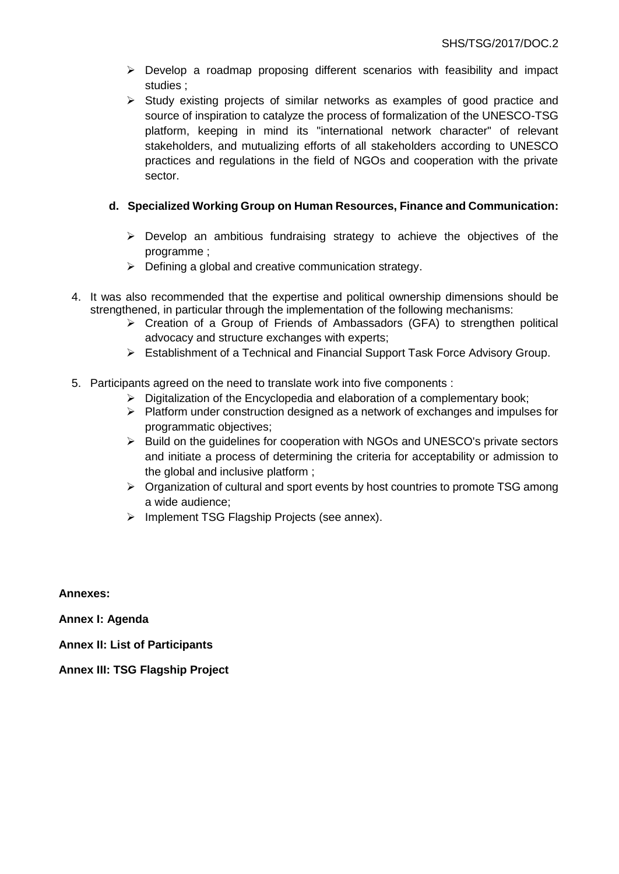- $\triangleright$  Develop a roadmap proposing different scenarios with feasibility and impact studies ;
- $\triangleright$  Study existing projects of similar networks as examples of good practice and source of inspiration to catalyze the process of formalization of the UNESCO-TSG platform, keeping in mind its "international network character" of relevant stakeholders, and mutualizing efforts of all stakeholders according to UNESCO practices and regulations in the field of NGOs and cooperation with the private sector.

# **d. Specialized Working Group on Human Resources, Finance and Communication:**

- $\triangleright$  Develop an ambitious fundraising strategy to achieve the objectives of the programme ;
- $\triangleright$  Defining a global and creative communication strategy.
- 4. It was also recommended that the expertise and political ownership dimensions should be strengthened, in particular through the implementation of the following mechanisms:
	- $\triangleright$  Creation of a Group of Friends of Ambassadors (GFA) to strengthen political advocacy and structure exchanges with experts;
	- Establishment of a Technical and Financial Support Task Force Advisory Group.
- 5. Participants agreed on the need to translate work into five components :
	- $\geq$  Digitalization of the Encyclopedia and elaboration of a complementary book:
	- $\triangleright$  Platform under construction designed as a network of exchanges and impulses for programmatic objectives;
	- $\triangleright$  Build on the guidelines for cooperation with NGOs and UNESCO's private sectors and initiate a process of determining the criteria for acceptability or admission to the global and inclusive platform ;
	- $\triangleright$  Organization of cultural and sport events by host countries to promote TSG among a wide audience;
	- $\triangleright$  Implement TSG Flagship Projects (see annex).

**Annexes:** 

**Annex I: Agenda**

**Annex II: List of Participants**

**Annex III: TSG Flagship Project**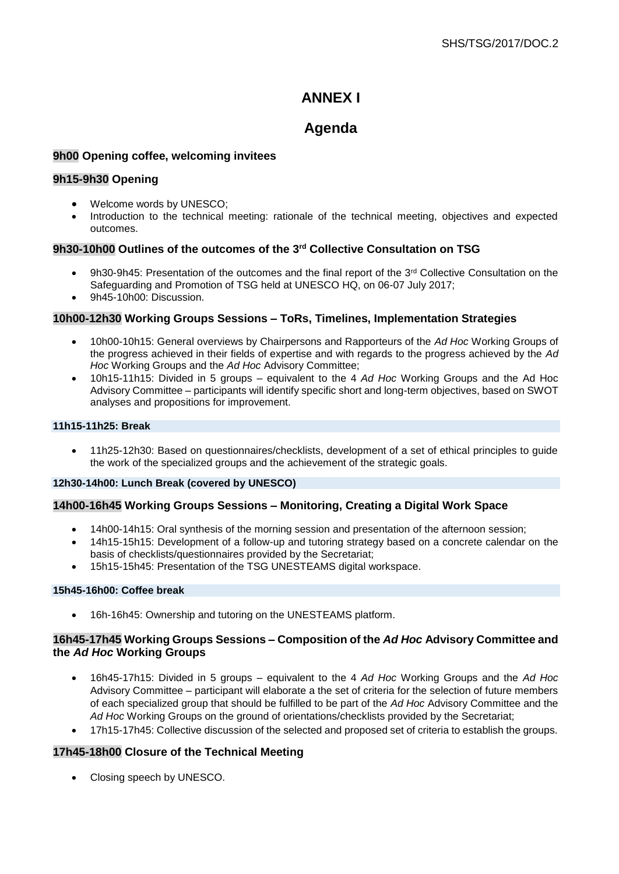# **ANNEX I**

# **Agenda**

## **9h00 Opening coffee, welcoming invitees**

## **9h15-9h30 Opening**

- Welcome words by UNESCO;
- Introduction to the technical meeting: rationale of the technical meeting, objectives and expected outcomes.

## **9h30-10h00 Outlines of the outcomes of the 3rd Collective Consultation on TSG**

- 9h30-9h45: Presentation of the outcomes and the final report of the 3<sup>rd</sup> Collective Consultation on the Safeguarding and Promotion of TSG held at UNESCO HQ, on 06-07 July 2017;
- 9h45-10h00: Discussion.

## **10h00-12h30 Working Groups Sessions – ToRs, Timelines, Implementation Strategies**

- 10h00-10h15: General overviews by Chairpersons and Rapporteurs of the *Ad Hoc* Working Groups of the progress achieved in their fields of expertise and with regards to the progress achieved by the *Ad Hoc* Working Groups and the *Ad Hoc* Advisory Committee;
- 10h15-11h15: Divided in 5 groups equivalent to the 4 *Ad Hoc* Working Groups and the Ad Hoc Advisory Committee – participants will identify specific short and long-term objectives, based on SWOT analyses and propositions for improvement.

#### **11h15-11h25: Break**

 11h25-12h30: Based on questionnaires/checklists, development of a set of ethical principles to guide the work of the specialized groups and the achievement of the strategic goals.

#### **12h30-14h00: Lunch Break (covered by UNESCO)**

## **14h00-16h45 Working Groups Sessions – Monitoring, Creating a Digital Work Space**

- 14h00-14h15: Oral synthesis of the morning session and presentation of the afternoon session;
- 14h15-15h15: Development of a follow-up and tutoring strategy based on a concrete calendar on the basis of checklists/questionnaires provided by the Secretariat;
- 15h15-15h45: Presentation of the TSG UNESTEAMS digital workspace.

#### **15h45-16h00: Coffee break**

16h-16h45: Ownership and tutoring on the UNESTEAMS platform.

#### **16h45-17h45 Working Groups Sessions – Composition of the** *Ad Hoc* **Advisory Committee and the** *Ad Hoc* **Working Groups**

- 16h45-17h15: Divided in 5 groups equivalent to the 4 *Ad Hoc* Working Groups and the *Ad Hoc* Advisory Committee – participant will elaborate a the set of criteria for the selection of future members of each specialized group that should be fulfilled to be part of the *Ad Hoc* Advisory Committee and the *Ad Hoc* Working Groups on the ground of orientations/checklists provided by the Secretariat;
- 17h15-17h45: Collective discussion of the selected and proposed set of criteria to establish the groups.

## **17h45-18h00 Closure of the Technical Meeting**

Closing speech by UNESCO.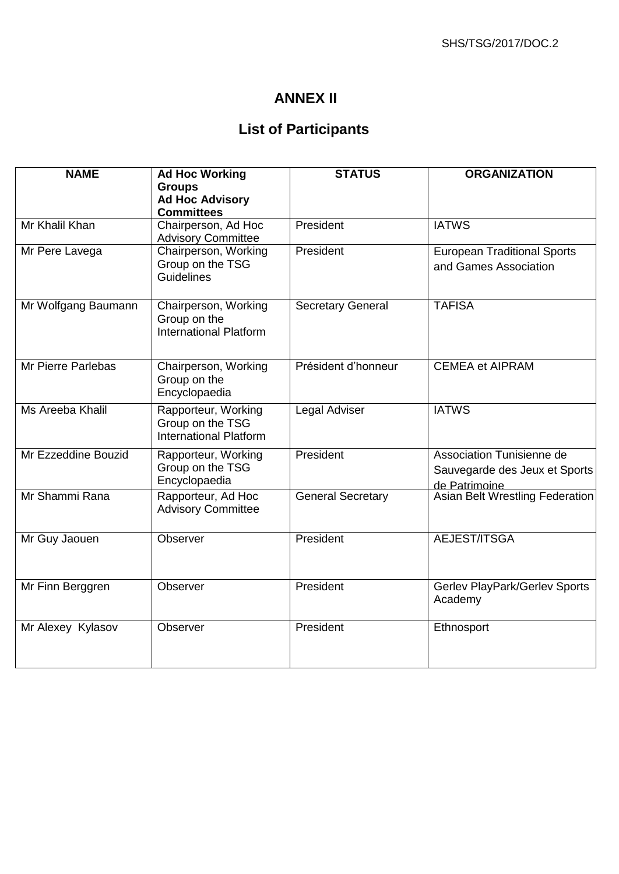# **ANNEX II**

# **List of Participants**

| <b>NAME</b>               | <b>Ad Hoc Working</b><br><b>Groups</b>                                   | <b>STATUS</b>            | <b>ORGANIZATION</b>                                                         |
|---------------------------|--------------------------------------------------------------------------|--------------------------|-----------------------------------------------------------------------------|
|                           | <b>Ad Hoc Advisory</b><br><b>Committees</b>                              |                          |                                                                             |
| Mr Khalil Khan            | Chairperson, Ad Hoc<br><b>Advisory Committee</b>                         | President                | <b>IATWS</b>                                                                |
| Mr Pere Lavega            | Chairperson, Working<br>Group on the TSG<br><b>Guidelines</b>            | President                | <b>European Traditional Sports</b><br>and Games Association                 |
| Mr Wolfgang Baumann       | Chairperson, Working<br>Group on the<br><b>International Platform</b>    | <b>Secretary General</b> | <b>TAFISA</b>                                                               |
| <b>Mr Pierre Parlebas</b> | Chairperson, Working<br>Group on the<br>Encyclopaedia                    | Président d'honneur      | <b>CEMEA et AIPRAM</b>                                                      |
| Ms Areeba Khalil          | Rapporteur, Working<br>Group on the TSG<br><b>International Platform</b> | Legal Adviser            | <b>IATWS</b>                                                                |
| Mr Ezzeddine Bouzid       | Rapporteur, Working<br>Group on the TSG<br>Encyclopaedia                 | President                | Association Tunisienne de<br>Sauvegarde des Jeux et Sports<br>de Patrimoine |
| Mr Shammi Rana            | Rapporteur, Ad Hoc<br><b>Advisory Committee</b>                          | <b>General Secretary</b> | <b>Asian Belt Wrestling Federation</b>                                      |
| Mr Guy Jaouen             | Observer                                                                 | President                | AEJEST/ITSGA                                                                |
| Mr Finn Berggren          | Observer                                                                 | President                | Gerlev PlayPark/Gerlev Sports<br>Academy                                    |
| Mr Alexey Kylasov         | Observer                                                                 | President                | Ethnosport                                                                  |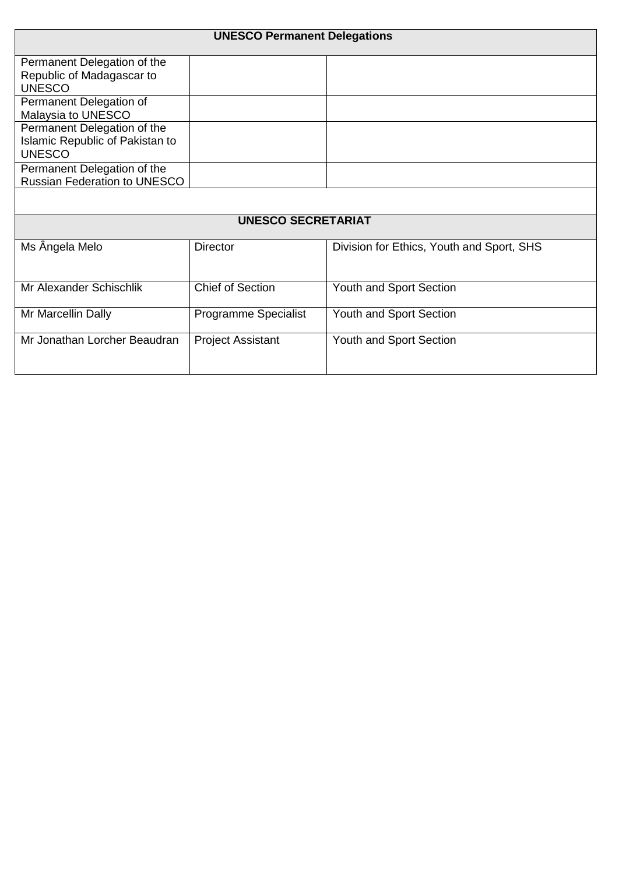| <b>UNESCO Permanent Delegations</b>                                             |                          |                                           |  |  |  |
|---------------------------------------------------------------------------------|--------------------------|-------------------------------------------|--|--|--|
| Permanent Delegation of the<br>Republic of Madagascar to<br><b>UNESCO</b>       |                          |                                           |  |  |  |
| Permanent Delegation of<br>Malaysia to UNESCO                                   |                          |                                           |  |  |  |
| Permanent Delegation of the<br>Islamic Republic of Pakistan to<br><b>UNESCO</b> |                          |                                           |  |  |  |
| Permanent Delegation of the<br><b>Russian Federation to UNESCO</b>              |                          |                                           |  |  |  |
|                                                                                 |                          |                                           |  |  |  |
| <b>UNESCO SECRETARIAT</b>                                                       |                          |                                           |  |  |  |
| Ms Ângela Melo                                                                  | <b>Director</b>          | Division for Ethics, Youth and Sport, SHS |  |  |  |
| Mr Alexander Schischlik                                                         | <b>Chief of Section</b>  | Youth and Sport Section                   |  |  |  |
| Mr Marcellin Dally                                                              | Programme Specialist     | Youth and Sport Section                   |  |  |  |
| Mr Jonathan Lorcher Beaudran                                                    | <b>Project Assistant</b> | Youth and Sport Section                   |  |  |  |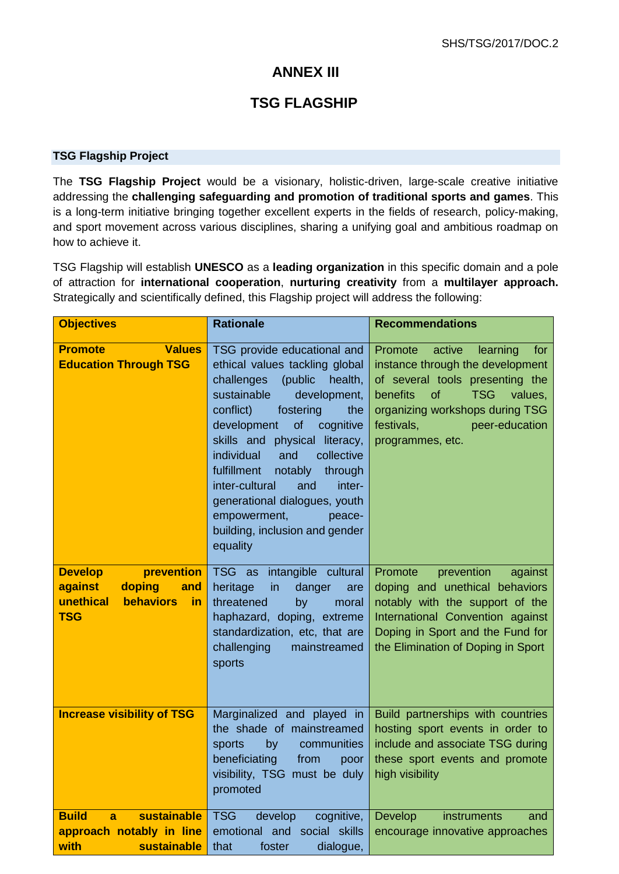# **ANNEX III**

# **TSG FLAGSHIP**

## **TSG Flagship Project**

The **TSG Flagship Project** would be a visionary, holistic-driven, large-scale creative initiative addressing the **challenging safeguarding and promotion of traditional sports and games**. This is a long-term initiative bringing together excellent experts in the fields of research, policy-making, and sport movement across various disciplines, sharing a unifying goal and ambitious roadmap on how to achieve it.

TSG Flagship will establish **UNESCO** as a **leading organization** in this specific domain and a pole of attraction for **international cooperation**, **nurturing creativity** from a **multilayer approach.** Strategically and scientifically defined, this Flagship project will address the following:

| <b>Objectives</b>                                                                                             | <b>Rationale</b>                                                                                                                                                                                                                                                                                                                                                                                                                                         | <b>Recommendations</b>                                                                                                                                                                                                                        |
|---------------------------------------------------------------------------------------------------------------|----------------------------------------------------------------------------------------------------------------------------------------------------------------------------------------------------------------------------------------------------------------------------------------------------------------------------------------------------------------------------------------------------------------------------------------------------------|-----------------------------------------------------------------------------------------------------------------------------------------------------------------------------------------------------------------------------------------------|
| <b>Values</b><br><b>Promote</b><br><b>Education Through TSG</b>                                               | TSG provide educational and<br>ethical values tackling global<br>challenges<br>(public<br>health,<br>sustainable<br>development,<br>conflict)<br>fostering<br>the<br>development<br>of<br>cognitive<br>skills and physical literacy,<br>collective<br>individual<br>and<br>fulfillment<br>notably<br>through<br>inter-cultural<br>and<br>inter-<br>generational dialogues, youth<br>empowerment,<br>peace-<br>building, inclusion and gender<br>equality | Promote<br>active<br>learning<br>for<br>instance through the development<br>of several tools presenting the<br>benefits<br>of<br><b>TSG</b><br>values,<br>organizing workshops during TSG<br>festivals,<br>peer-education<br>programmes, etc. |
| prevention<br><b>Develop</b><br>against<br>doping<br>and<br>unethical<br><b>behaviors</b><br>in<br><b>TSG</b> | TSG as<br>intangible cultural<br>heritage<br>in<br>danger<br>are<br>threatened<br>by<br>moral<br>haphazard, doping, extreme<br>standardization, etc, that are<br>challenging<br>mainstreamed<br>sports                                                                                                                                                                                                                                                   | Promote<br>prevention<br>against<br>doping and unethical behaviors<br>notably with the support of the<br>International Convention against<br>Doping in Sport and the Fund for<br>the Elimination of Doping in Sport                           |
| <b>Increase visibility of TSG</b>                                                                             | Marginalized and played in<br>the shade of mainstreamed<br>sports<br>by<br>communities<br>beneficiating<br>from<br>poor<br>visibility, TSG must be duly<br>promoted                                                                                                                                                                                                                                                                                      | Build partnerships with countries<br>hosting sport events in order to<br>include and associate TSG during<br>these sport events and promote<br>high visibility                                                                                |
| <b>Build</b><br>sustainable<br>a<br>approach notably in line<br>sustainable<br>with                           | <b>TSG</b><br>develop<br>cognitive,<br>emotional and social skills<br>that<br>foster<br>dialogue,                                                                                                                                                                                                                                                                                                                                                        | instruments<br><b>Develop</b><br>and<br>encourage innovative approaches                                                                                                                                                                       |